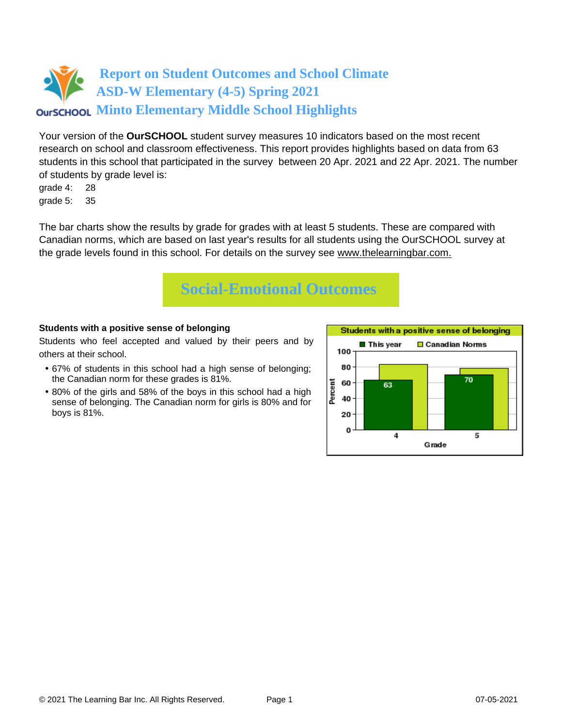Your version of the **OurSCHOOL** student survey measures 10 indicators based on the most recent research on school and classroom effectiveness. This report provides highlights based on data from 63 students in this school that participated in the survey between 20 Apr. 2021 and 22 Apr. 2021. The number of students by grade level is:

grade 4: 28 grade 5: 35

The bar charts show the results by grade for grades with at least 5 students. These are compared with Canadian norms, which are based on last year's results for all students using the OurSCHOOL survey at the grade levels found in this school. For details on the survey see [www.thelearningbar.com.](www.thelearningbar.com)



### **Students with a positive sense of belonging**

Students who feel accepted and valued by their peers and by others at their school.

- 67% of students in this school had a high sense of belonging; the Canadian norm for these grades is 81%.
- 80% of the girls and 58% of the boys in this school had a high sense of belonging. The Canadian norm for girls is 80% and for boys is 81%.

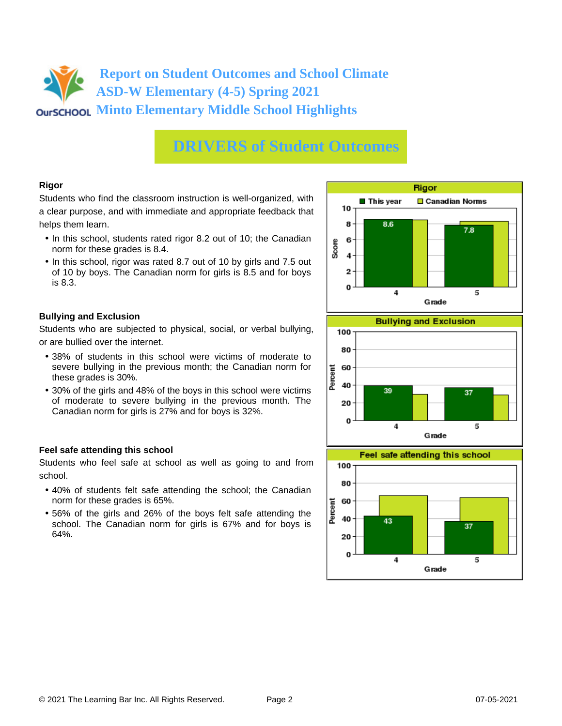## **DRIVERS of Student Outcomes**

### **Rigor**

Students who find the classroom instruction is well-organized, with a clear purpose, and with immediate and appropriate feedback that helps them learn.

- In this school, students rated rigor 8.2 out of 10; the Canadian norm for these grades is 8.4.
- In this school, rigor was rated 8.7 out of 10 by girls and 7.5 out of 10 by boys. The Canadian norm for girls is 8.5 and for boys is 8.3.

### **Bullying and Exclusion**

Students who are subjected to physical, social, or verbal bullying, or are bullied over the internet.

- 38% of students in this school were victims of moderate to severe bullying in the previous month; the Canadian norm for these grades is 30%.
- 30% of the girls and 48% of the boys in this school were victims of moderate to severe bullying in the previous month. The Canadian norm for girls is 27% and for boys is 32%.

### **Feel safe attending this school**

Students who feel safe at school as well as going to and from school.

- 40% of students felt safe attending the school; the Canadian norm for these grades is 65%.
- 56% of the girls and 26% of the boys felt safe attending the school. The Canadian norm for girls is 67% and for boys is 64%.



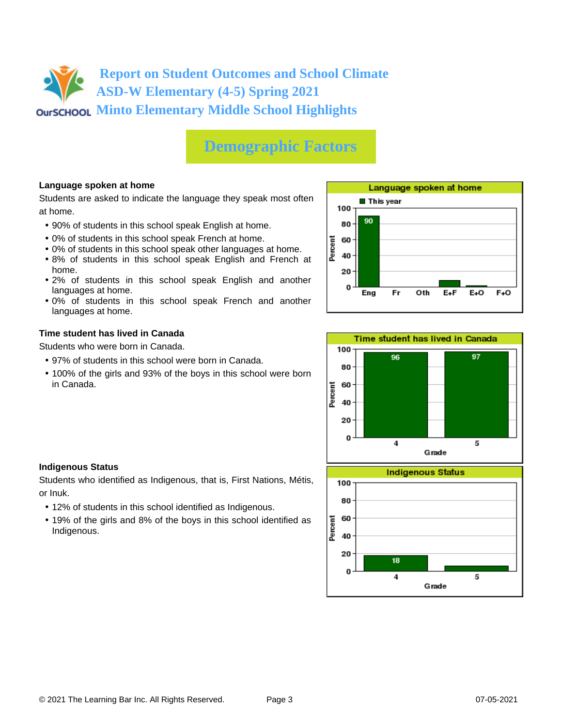## **Demographic Factors**

### **Language spoken at home**

Students are asked to indicate the language they speak most often at home.

- 90% of students in this school speak English at home.
- 0% of students in this school speak French at home.
- 0% of students in this school speak other languages at home.
- 8% of students in this school speak English and French at home.
- 2% of students in this school speak English and another languages at home.
- 0% of students in this school speak French and another languages at home.

#### **Time student has lived in Canada**

Students who were born in Canada.

- 97% of students in this school were born in Canada.
- 100% of the girls and 93% of the boys in this school were born in Canada.





#### **Indigenous Status**

Students who identified as Indigenous, that is, First Nations, Métis, or Inuk.

- 12% of students in this school identified as Indigenous.
- 19% of the girls and 8% of the boys in this school identified as Indigenous.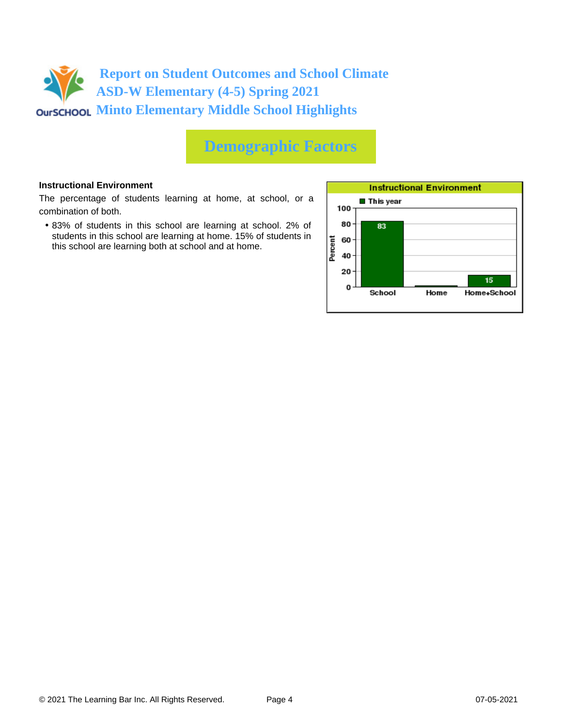

### **Demographic Factors**

#### **Instructional Environment**

The percentage of students learning at home, at school, or a combination of both.

• 83% of students in this school are learning at school. 2% of students in this school are learning at home. 15% of students in this school are learning both at school and at home.

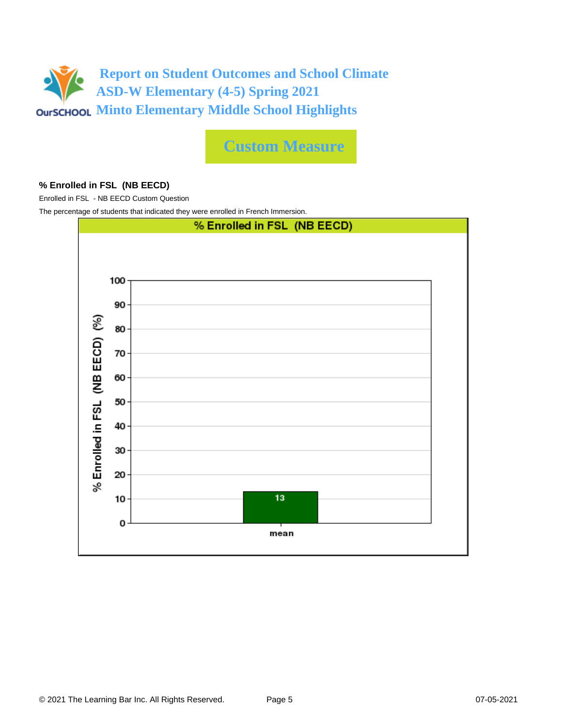

**Custom Measure**

#### **% Enrolled in FSL (NB EECD)**

Enrolled in FSL - NB EECD Custom Question

The percentage of students that indicated they were enrolled in French Immersion.

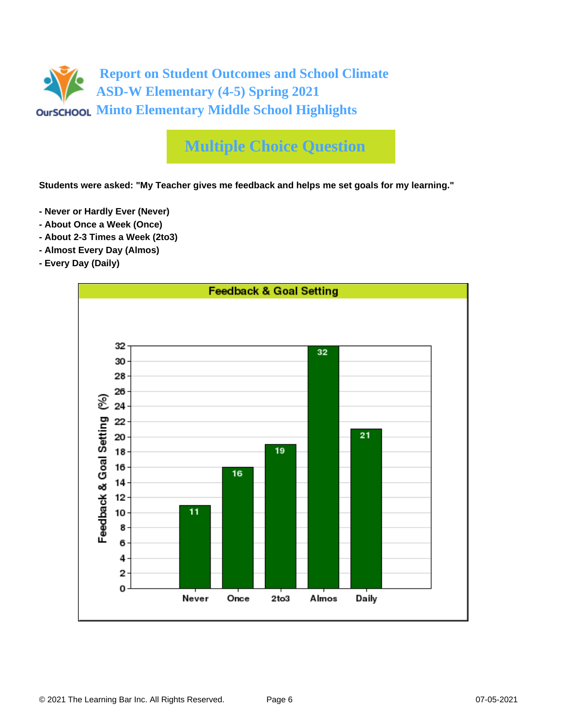# **Multiple Choice Question**

**Students were asked: "My Teacher gives me feedback and helps me set goals for my learning."**

- **Never or Hardly Ever (Never)**
- **About Once a Week (Once)**
- **About 2-3 Times a Week (2to3)**
- **Almost Every Day (Almos)**
- **Every Day (Daily)**